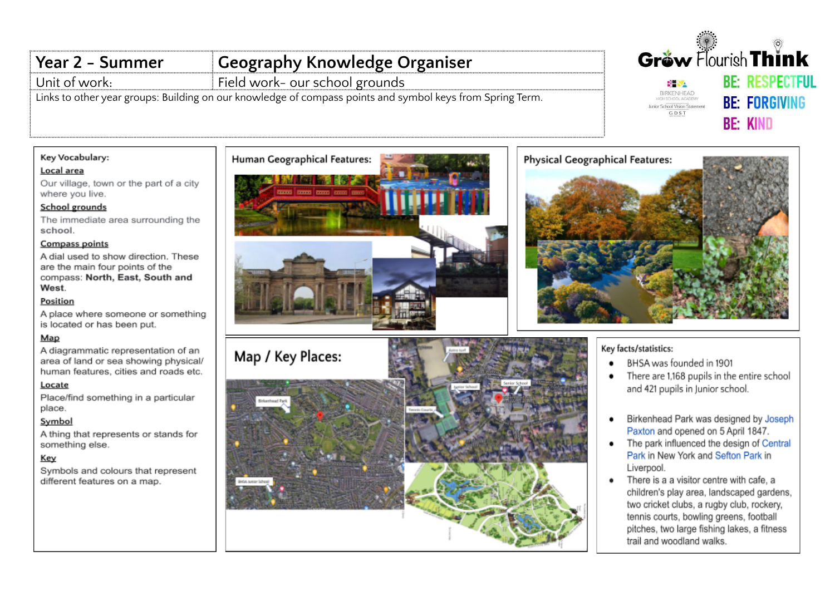# Year 2 - Summer Unit of work:

**Geography Knowledge Organiser** 

Field work- our school grounds

<u>Links to other year groups: Building on our knowledge of compass points and symbol keys from Spring Term.</u>

# Key Vocabulary:

## Local area

Our village, town or the part of a city where you live.

### School grounds

The immediate area surrounding the school.

#### **Compass points**

A dial used to show direction. These are the main four points of the compass: North, East, South and West.

### Position

A place where someone or something is located or has been put.

# Map

A diagrammatic representation of an area of land or sea showing physical/ human features, cities and roads etc.

#### Locate

Place/find something in a particular place.

# Symbol

A thing that represents or stands for something else.

### Key

Symbols and colours that represent different features on a map.





# Gréw Flourish Think **BE: RESPECTFUL BH SA** BIRKENHEAD **BE: FORGIVING** Junior School Vision Statement GDST **BE: KIND**



# Key facts/statistics:

- BHSA was founded in 1901
- There are 1,168 pupils in the entire school and 421 pupils in Junior school.
- Birkenhead Park was designed by Joseph  $\bullet$ Paxton and opened on 5 April 1847.
- The park influenced the design of Central Park in New York and Sefton Park in Liverpool.
- There is a a visitor centre with cafe, a  $\bullet$ children's play area, landscaped gardens, two cricket clubs, a rugby club, rockery, tennis courts, bowling greens, football pitches, two large fishing lakes, a fitness trail and woodland walks.